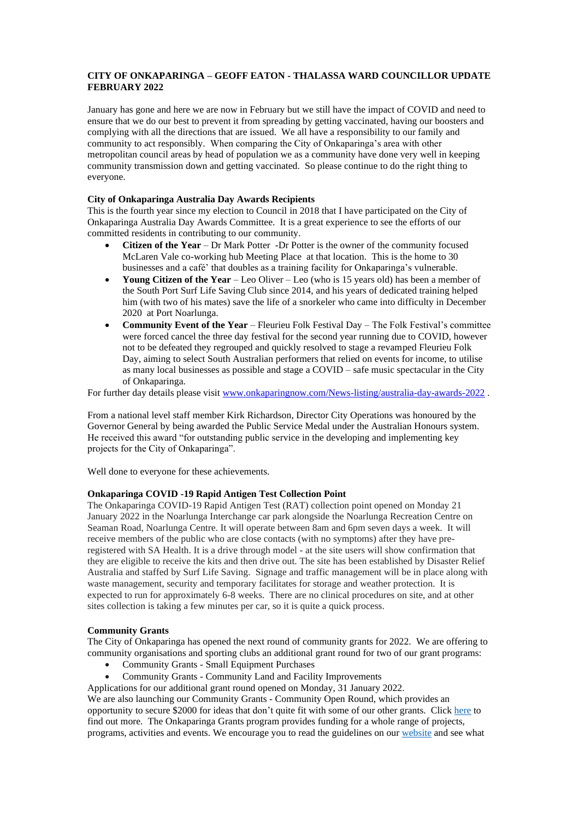## **CITY OF ONKAPARINGA – GEOFF EATON - THALASSA WARD COUNCILLOR UPDATE FEBRUARY 2022**

January has gone and here we are now in February but we still have the impact of COVID and need to ensure that we do our best to prevent it from spreading by getting vaccinated, having our boosters and complying with all the directions that are issued. We all have a responsibility to our family and community to act responsibly. When comparing the City of Onkaparinga's area with other metropolitan council areas by head of population we as a community have done very well in keeping community transmission down and getting vaccinated. So please continue to do the right thing to everyone.

### **City of Onkaparinga Australia Day Awards Recipients**

This is the fourth year since my election to Council in 2018 that I have participated on the City of Onkaparinga Australia Day Awards Committee. It is a great experience to see the efforts of our committed residents in contributing to our community.

- **Citizen of the Year** Dr Mark Potter -Dr Potter is the owner of the community focused McLaren Vale co-working hub Meeting Place at that location. This is the home to 30 businesses and a café' that doubles as a training facility for Onkaparinga's vulnerable.
- **Young Citizen of the Year** Leo Oliver Leo (who is 15 years old) has been a member of the South Port Surf Life Saving Club since 2014, and his years of dedicated training helped him (with two of his mates) save the life of a snorkeler who came into difficulty in December 2020 at Port Noarlunga.
- **Community Event of the Year**  Fleurieu Folk Festival Day The Folk Festival's committee were forced cancel the three day festival for the second year running due to COVID, however not to be defeated they regrouped and quickly resolved to stage a revamped Fleurieu Folk Day, aiming to select South Australian performers that relied on events for income, to utilise as many local businesses as possible and stage a COVID – safe music spectacular in the City of Onkaparinga.

For further day details please visi[t www.onkaparingnow.com/News-listing/australia-day-awards-2022](http://www.onkaparingnow.com/News-listing/australia-day-awards-2022) .

From a national level staff member Kirk Richardson, Director City Operations was honoured by the Governor General by being awarded the Public Service Medal under the Australian Honours system. He received this award "for outstanding public service in the developing and implementing key projects for the City of Onkaparinga".

Well done to everyone for these achievements.

## **Onkaparinga COVID -19 Rapid Antigen Test Collection Point**

The Onkaparinga COVID-19 Rapid Antigen Test (RAT) collection point opened on Monday 21 January 2022 in the Noarlunga Interchange car park alongside the Noarlunga Recreation Centre on Seaman Road, Noarlunga Centre. It will operate between 8am and 6pm seven days a week. It will receive members of the public who are close contacts (with no symptoms) after they have preregistered with SA Health. It is a drive through model - at the site users will show confirmation that they are eligible to receive the kits and then drive out. The site has been established by Disaster Relief Australia and staffed by Surf Life Saving. Signage and traffic management will be in place along with waste management, security and temporary facilitates for storage and weather protection. It is expected to run for approximately 6-8 weeks. There are no clinical procedures on site, and at other sites collection is taking a few minutes per car, so it is quite a quick process.

## **Community Grants**

The City of Onkaparinga has opened the next round of community grants for 2022. We are offering to community organisations and sporting clubs an additional grant round for two of our grant programs:

- Community Grants Small Equipment Purchases
- Community Grants Community Land and Facility Improvements

Applications for our additional grant round opened on Monday, 31 January 2022.

We are also launching our Community Grants - Community Open Round, which provides an opportunity to secure \$2000 for ideas that don't quite fit with some of our other grants. Click [here](https://www.onkaparingacity.com/Council/Grants/Community-Grants/Community-Open-Round-Grants) to find out more. The Onkaparinga Grants program provides funding for a whole range of projects, programs, activities and events. We encourage you to read the guidelines on our [website](http://www.onkaparingacity.com/grants) and see what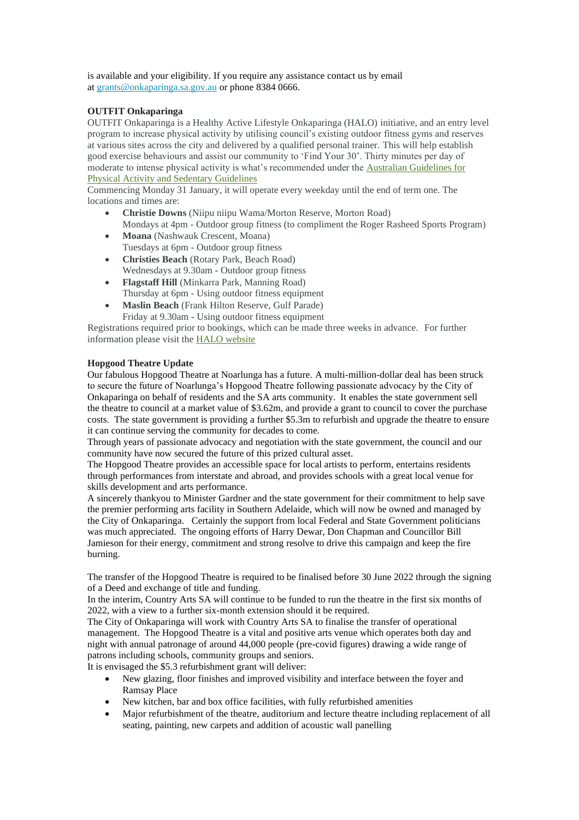is available and your eligibility. If you require any assistance contact us by email at [grants@onkaparinga.sa.gov.au](mailto:grants@onkaparinga.sa.gov.au) or phone 8384 0666.

## **OUTFIT Onkaparinga**

OUTFIT Onkaparinga is a Healthy Active Lifestyle Onkaparinga (HALO) initiative, and an entry level program to increase physical activity by utilising council's existing outdoor fitness gyms and reserves at various sites across the city and delivered by a qualified personal trainer. This will help establish good exercise behaviours and assist our community to 'Find Your 30'. Thirty minutes per day of moderate to intense physical activity is what's recommended under the [Australian Guidelines for](https://www1.health.gov.au/internet/main/publishing.nsf/Content/health-pubhlth-strateg-phys-act-guidelines)  [Physical Activity and Sedentary Guidelines](https://www1.health.gov.au/internet/main/publishing.nsf/Content/health-pubhlth-strateg-phys-act-guidelines)

Commencing Monday 31 January, it will operate every weekday until the end of term one. The locations and times are:

- **Christie Downs** (Niipu niipu Wama/Morton Reserve, Morton Road) Mondays at 4pm - Outdoor group fitness (to compliment the Roger Rasheed Sports Program)
- **Moana** (Nashwauk Crescent, Moana) Tuesdays at 6pm - Outdoor group fitness
- **Christies Beach** (Rotary Park, Beach Road) Wednesdays at 9.30am - Outdoor group fitness
- **Flagstaff Hill** (Minkarra Park, Manning Road) Thursday at 6pm - Using outdoor fitness equipment
- **Maslin Beach** (Frank Hilton Reserve, Gulf Parade) Friday at 9.30am - Using outdoor fitness equipment

Registrations required prior to bookings, which can be made three weeks in advance. For further information please visit the [HALO website](https://www.onkaparingacity.com/Around-me/Sport-and-recreation/HALO)

# **Hopgood Theatre Update**

Our fabulous Hopgood Theatre at Noarlunga has a future. A multi-million-dollar deal has been struck to secure the future of Noarlunga's Hopgood Theatre following passionate advocacy by the City of Onkaparinga on behalf of residents and the SA arts community. It enables the state government sell the theatre to council at a market value of \$3.62m, and provide a grant to council to cover the purchase costs. The state government is providing a further \$5.3m to refurbish and upgrade the theatre to ensure it can continue serving the community for decades to come.

Through years of passionate advocacy and negotiation with the state government, the council and our community have now secured the future of this prized cultural asset.

The Hopgood Theatre provides an accessible space for local artists to perform, entertains residents through performances from interstate and abroad, and provides schools with a great local venue for skills development and arts performance.

A sincerely thankyou to Minister Gardner and the state government for their commitment to help save the premier performing arts facility in Southern Adelaide, which will now be owned and managed by the City of Onkaparinga. Certainly the support from local Federal and State Government politicians was much appreciated. The ongoing efforts of Harry Dewar, Don Chapman and Councillor Bill Jamieson for their energy, commitment and strong resolve to drive this campaign and keep the fire burning.

The transfer of the Hopgood Theatre is required to be finalised before 30 June 2022 through the signing of a Deed and exchange of title and funding.

In the interim, Country Arts SA will continue to be funded to run the theatre in the first six months of 2022, with a view to a further six-month extension should it be required.

The City of Onkaparinga will work with Country Arts SA to finalise the transfer of operational management. The Hopgood Theatre is a vital and positive arts venue which operates both day and night with annual patronage of around 44,000 people (pre-covid figures) drawing a wide range of patrons including schools, community groups and seniors.

It is envisaged the \$5.3 refurbishment grant will deliver:

- New glazing, floor finishes and improved visibility and interface between the foyer and Ramsay Place
- New kitchen, bar and box office facilities, with fully refurbished amenities
- Major refurbishment of the theatre, auditorium and lecture theatre including replacement of all seating, painting, new carpets and addition of acoustic wall panelling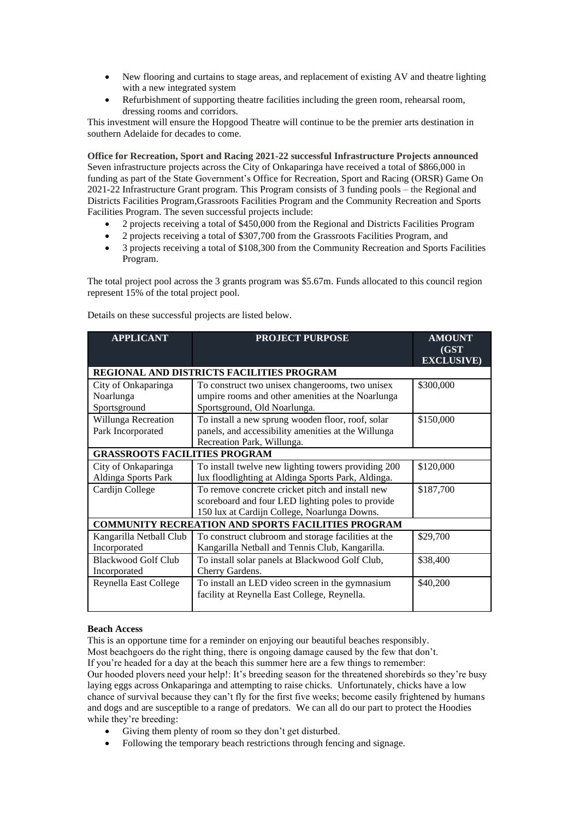- New flooring and curtains to stage areas, and replacement of existing AV and theatre lighting with a new integrated system
- Refurbishment of supporting theatre facilities including the green room, rehearsal room, dressing rooms and corridors.

This investment will ensure the Hopgood Theatre will continue to be the premier arts destination in southern Adelaide for decades to come.

**Office for Recreation, Sport and Racing 2021-22 successful Infrastructure Projects announced** Seven infrastructure projects across the City of Onkaparinga have received a total of \$866,000 in funding as part of the State Government's Office for Recreation, Sport and Racing (ORSR) Game On 2021-22 Infrastructure Grant program. This Program consists of 3 funding pools – the Regional and Districts Facilities Program,Grassroots Facilities Program and the Community Recreation and Sports Facilities Program. The seven successful projects include:

- 2 projects receiving a total of \$450,000 from the Regional and Districts Facilities Program
- 2 projects receiving a total of \$307,700 from the Grassroots Facilities Program, and
- 3 projects receiving a total of \$108,300 from the Community Recreation and Sports Facilities Program.

The total project pool across the 3 grants program was \$5.67m. Funds allocated to this council region represent 15% of the total project pool.

| <b>APPLICANT</b>                                          | <b>PROJECT PURPOSE</b>                                                                                                                                | <b>AMOUNT</b><br>(GST)<br><b>EXCLUSIVE</b> ) |
|-----------------------------------------------------------|-------------------------------------------------------------------------------------------------------------------------------------------------------|----------------------------------------------|
| REGIONAL AND DISTRICTS FACILITIES PROGRAM                 |                                                                                                                                                       |                                              |
| City of Onkaparinga<br>Noarlunga                          | To construct two unisex changerooms, two unisex<br>umpire rooms and other amenities at the Noarlunga                                                  | \$300,000                                    |
| Sportsground                                              | Sportsground, Old Noarlunga.                                                                                                                          |                                              |
| Willunga Recreation<br>Park Incorporated                  | To install a new sprung wooden floor, roof, solar<br>panels, and accessibility amenities at the Willunga<br>Recreation Park, Willunga.                | \$150,000                                    |
| <b>GRASSROOTS FACILITIES PROGRAM</b>                      |                                                                                                                                                       |                                              |
| City of Onkaparinga<br>Aldinga Sports Park                | To install twelve new lighting towers providing 200<br>lux floodlighting at Aldinga Sports Park, Aldinga.                                             | \$120,000                                    |
| Cardijn College                                           | To remove concrete cricket pitch and install new<br>scoreboard and four LED lighting poles to provide<br>150 lux at Cardijn College, Noarlunga Downs. | \$187,700                                    |
| <b>COMMUNITY RECREATION AND SPORTS FACILITIES PROGRAM</b> |                                                                                                                                                       |                                              |
| Kangarilla Netball Club<br>Incorporated                   | To construct clubroom and storage facilities at the<br>Kangarilla Netball and Tennis Club, Kangarilla.                                                | \$29,700                                     |
| <b>Blackwood Golf Club</b><br>Incorporated                | To install solar panels at Blackwood Golf Club,<br>Cherry Gardens.                                                                                    | \$38,400                                     |
| Reynella East College                                     | To install an LED video screen in the gymnasium<br>facility at Reynella East College, Reynella.                                                       | \$40,200                                     |

Details on these successful projects are listed below.

#### **Beach Access**

This is an opportune time for a reminder on enjoying our beautiful beaches responsibly. Most beachgoers do the right thing, there is ongoing damage caused by the few that don't. If you're headed for a day at the beach this summer here are a few things to remember: Our hooded plovers need your help!: It's breeding season for the threatened shorebirds so they're busy laying eggs across Onkaparinga and attempting to raise chicks. Unfortunately, chicks have a low chance of survival because they can't fly for the first five weeks; become easily frightened by humans and dogs and are susceptible to a range of predators. We can all do our part to protect the Hoodies while they're breeding:

- Giving them plenty of room so they don't get disturbed.
- Following the temporary beach restrictions through fencing and signage.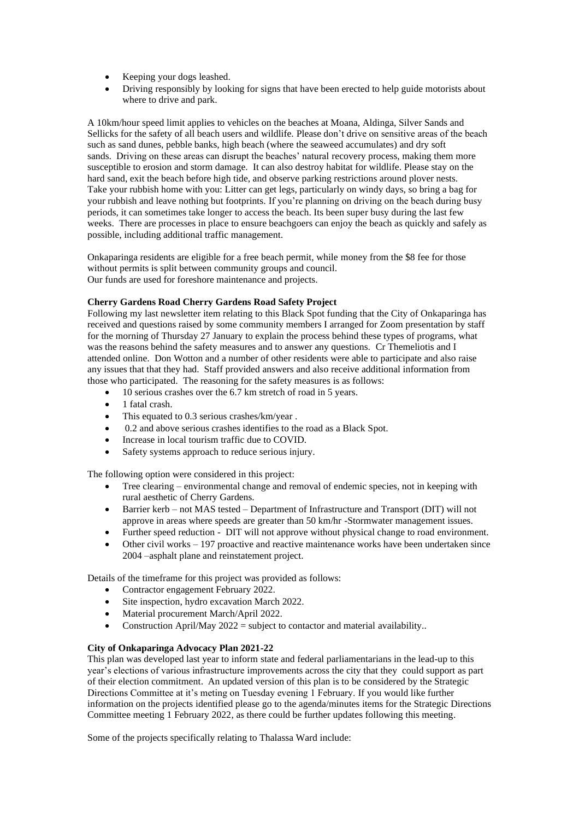- Keeping your dogs leashed.
- Driving responsibly by looking for signs that have been erected to help guide motorists about where to drive and park.

A 10km/hour speed limit applies to vehicles on the beaches at Moana, Aldinga, Silver Sands and Sellicks for the safety of all beach users and wildlife. Please don't drive on sensitive areas of the beach such as sand dunes, pebble banks, high beach (where the seaweed accumulates) and dry soft sands. Driving on these areas can disrupt the beaches' natural recovery process, making them more susceptible to erosion and storm damage. It can also destroy habitat for wildlife. Please stay on the hard sand, exit the beach before high tide, and observe parking restrictions around plover nests. Take your rubbish home with you: Litter can get legs, particularly on windy days, so bring a bag for your rubbish and leave nothing but footprints. If you're planning on driving on the beach during busy periods, it can sometimes take longer to access the beach. Its been super busy during the last few weeks. There are processes in place to ensure beachgoers can enjoy the beach as quickly and safely as possible, including additional traffic management.

Onkaparinga residents are eligible for a free beach permit, while money from the \$8 fee for those without permits is split between community groups and council. Our funds are used for foreshore maintenance and projects.

## **Cherry Gardens Road Cherry Gardens Road Safety Project**

Following my last newsletter item relating to this Black Spot funding that the City of Onkaparinga has received and questions raised by some community members I arranged for Zoom presentation by staff for the morning of Thursday 27 January to explain the process behind these types of programs, what was the reasons behind the safety measures and to answer any questions. Cr Themeliotis and I attended online. Don Wotton and a number of other residents were able to participate and also raise any issues that that they had. Staff provided answers and also receive additional information from those who participated. The reasoning for the safety measures is as follows:

- 10 serious crashes over the 6.7 km stretch of road in 5 years.
- 1 fatal crash.
- This equated to 0.3 serious crashes/km/year.
- 0.2 and above serious crashes identifies to the road as a Black Spot.
- Increase in local tourism traffic due to COVID.
- Safety systems approach to reduce serious injury.

The following option were considered in this project:

- Tree clearing environmental change and removal of endemic species, not in keeping with rural aesthetic of Cherry Gardens.
- Barrier kerb not MAS tested Department of Infrastructure and Transport (DIT) will not approve in areas where speeds are greater than 50 km/hr -Stormwater management issues.
- Further speed reduction DIT will not approve without physical change to road environment.
- Other civil works 197 proactive and reactive maintenance works have been undertaken since 2004 –asphalt plane and reinstatement project.

Details of the timeframe for this project was provided as follows:

- Contractor engagement February 2022.
- Site inspection, hydro excavation March 2022.
- Material procurement March/April 2022.
- Construction April/May  $2022$  = subject to contactor and material availability..

#### **City of Onkaparinga Advocacy Plan 2021-22**

This plan was developed last year to inform state and federal parliamentarians in the lead-up to this year's elections of various infrastructure improvements across the city that they could support as part of their election commitment. An updated version of this plan is to be considered by the Strategic Directions Committee at it's meting on Tuesday evening 1 February. If you would like further information on the projects identified please go to the agenda/minutes items for the Strategic Directions Committee meeting 1 February 2022, as there could be further updates following this meeting.

Some of the projects specifically relating to Thalassa Ward include: